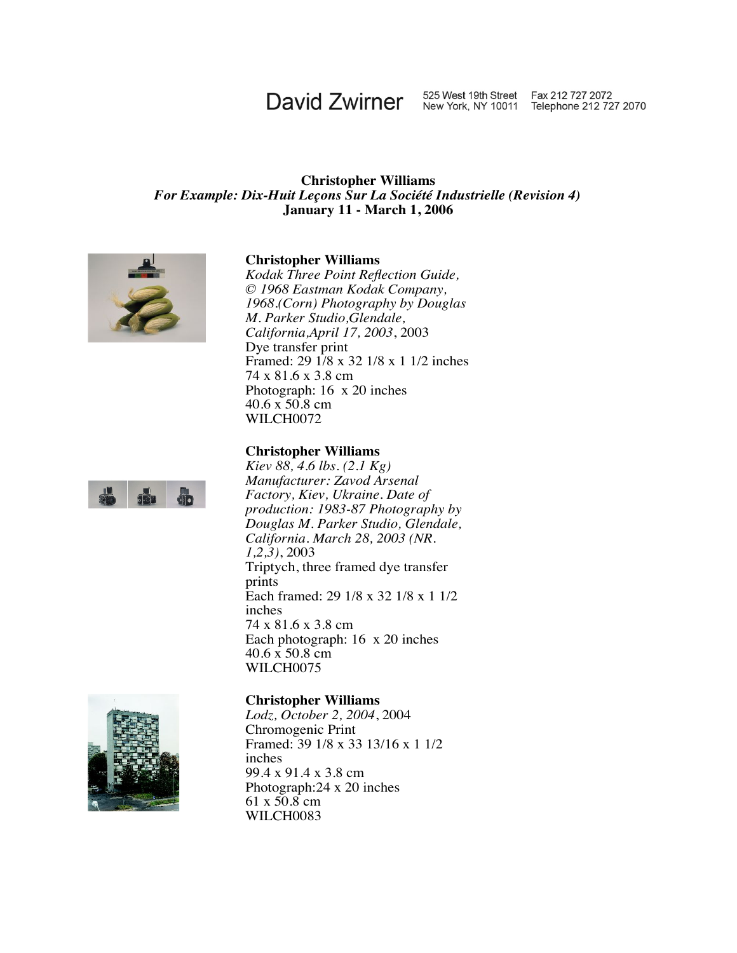# David Zwirner 525 West 19th Street Fax 212 727 2072<br>New York, NY 10011 Telephone 212 727 2070

#### **Christopher Williams** *For Example: Dix-Huit Leçons Sur La Société Industrielle (Revision 4)* **January 11 - March 1, 2006**



#### **Christopher Williams**\_

*Kodak Three Point Reflection Guide, © 1968 Eastman Kodak Company, 1968.(Corn) Photography by Douglas M. Parker Studio,Glendale, California,April 17, 2003*, 2003 Dye transfer print Framed: 29 1/8 x 32 1/8 x 1 1/2 inches 74 x 81.6 x 3.8 cm Photograph: 16 x 20 inches  $40.6 \times 50.8$  cm WILCH0072

#### **Christopher Williams**\_

*Kiev 88, 4.6 lbs. (2.1 Kg) Manufacturer: Zavod Arsenal Factory, Kiev, Ukraine. Date of production: 1983-87 Photography by Douglas M. Parker Studio, Glendale, California. March 28, 2003 (NR. 1,2,3)*, 2003 Triptych, three framed dye transfer prints Each framed: 29 1/8 x 32 1/8 x 1 1/2 inches 74 x 81.6 x 3.8 cm Each photograph: 16 x 20 inches 40.6 x 50.8 cm WILCH0075



#### **Christopher Williams**\_

*Lodz, October 2, 2004*, 2004 Chromogenic Print Framed: 39 1/8 x 33 13/16 x 1 1/2 inches 99.4 x 91.4 x 3.8 cm Photograph:24 x 20 inches  $61 \times 50.8$  cm WILCH0083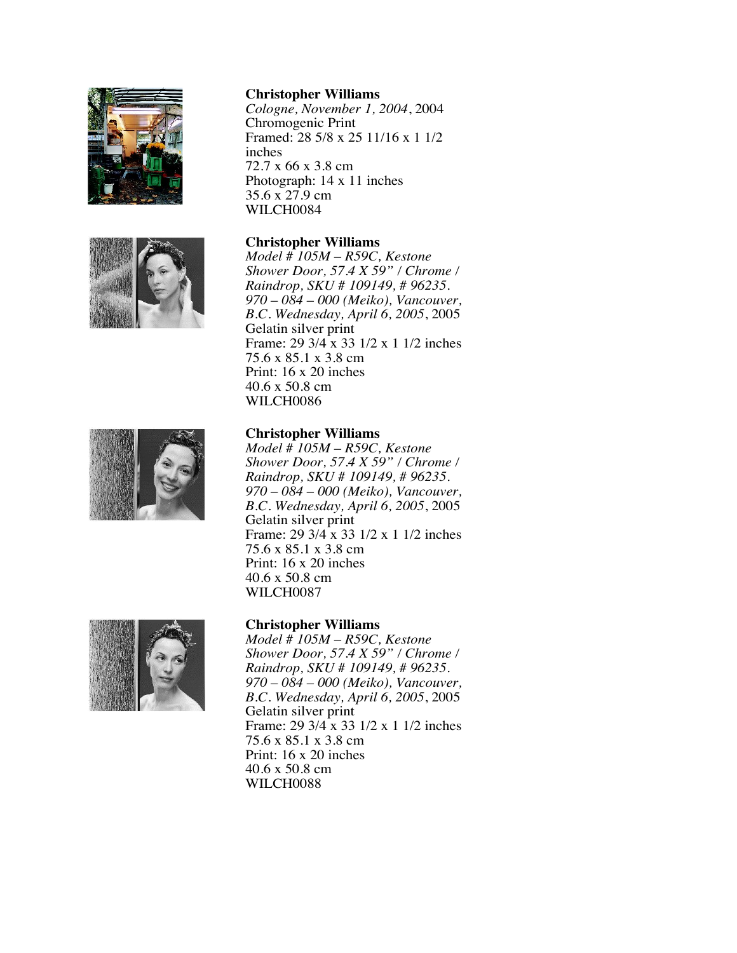



*Cologne, November 1, 2004*, 2004 Chromogenic Print Framed: 28 5/8 x 25 11/16 x 1 1/2 inches 72.7 x 66 x 3.8 cm Photograph: 14 x 11 inches 35.6 x 27.9 cm WILCH0084

#### **Christopher Williams** \_

*Model # 105M – R59C, Kestone Shower Door, 57.4 X 59" / Chrome / Raindrop, SKU # 109149, # 96235. 970 – 084 – 000 (Meiko), Vancouver, B.C. Wednesday, April 6, 2005*, 2005 Gelatin silver print Frame: 29 3/4 x 33 1/2 x 1 1/2 inches 75.6 x 85.1 x 3.8 cm Print: 16 x 20 inches 40.6 x 50.8 cm WILCH0086



#### **Christopher Williams** \_

*Model # 105M – R59C, Kestone Shower Door, 57.4 X 59" / Chrome / Raindrop, SKU # 109149, # 96235. 970 – 084 – 000 (Meiko), Vancouver, B.C. Wednesday, April 6, 2005*, 2005 Gelatin silver print Frame: 29 3/4 x 33 1/2 x 1 1/2 inches 75.6 x 85.1 x 3.8 cm Print: 16 x 20 inches 40.6 x 50.8 cm WILCH0087



### **Christopher Williams** \_

*Model # 105M – R59C, Kestone Shower Door, 57.4 X 59" / Chrome / Raindrop, SKU # 109149, # 96235. 970 – 084 – 000 (Meiko), Vancouver, B.C. Wednesday, April 6, 2005*, 2005 Gelatin silver print Frame: 29 3/4 x 33 1/2 x 1 1/2 inches 75.6 x 85.1 x 3.8 cm Print: 16 x 20 inches 40.6 x 50.8 cm WILCH0088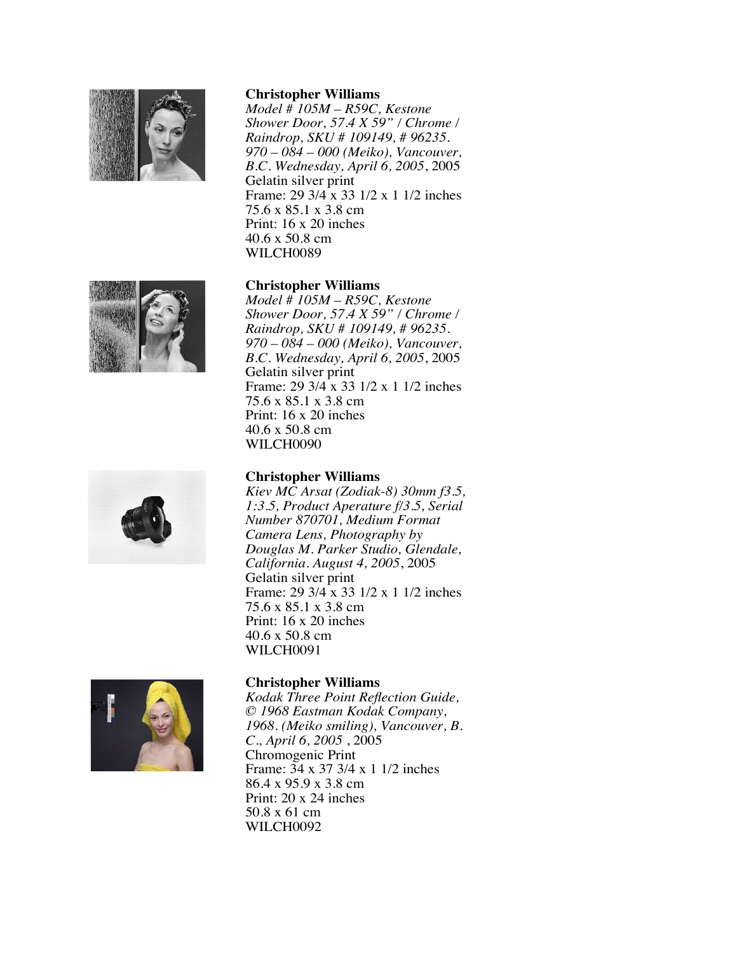

*Model # 105M – R59C, Kestone Shower Door, 57.4 X 59" / Chrome / Raindrop, SKU # 109149, # 96235. 970 – 084 – 000 (Meiko), Vancouver, B.C. Wednesday, April 6, 2005*, 2005 Gelatin silver print Frame: 29 3/4 x 33 1/2 x 1 1/2 inches 75.6 x 85.1 x 3.8 cm Print: 16 x 20 inches 40.6 x 50.8 cm WILCH0089

## **Christopher Williams** \_

*Model # 105M – R59C, Kestone Shower Door, 57.4 X 59" / Chrome / Raindrop, SKU # 109149, # 96235. 970 – 084 – 000 (Meiko), Vancouver, B.C. Wednesday, April 6, 2005*, 2005 Gelatin silver print Frame: 29 3/4 x 33 1/2 x 1 1/2 inches 75.6 x 85.1 x 3.8 cm Print: 16 x 20 inches 40.6 x 50.8 cm WILCH0090

# **Christopher Williams** \_

*Kiev MC Arsat (Zodiak-8) 30mm f3.5, 1:3.5, Product Aperature f/3.5, Serial Number 870701, Medium Format Camera Lens, Photography by Douglas M. Parker Studio, Glendale, California. August 4, 2005*, 2005 Gelatin silver print Frame: 29 3/4 x 33 1/2 x 1 1/2 inches 75.6 x 85.1 x 3.8 cm Print: 16 x 20 inches 40.6 x 50.8 cm WILCH0091



# **Christopher Williams** \_

*Kodak Three Point Reflection Guide, © 1968 Eastman Kodak Company, 1968. (Meiko smiling), Vancouver, B. C., April 6, 2005* , 2005 Chromogenic Print Frame: 34 x 37 3/4 x 1 1/2 inches 86.4 x 95.9 x 3.8 cm Print: 20 x 24 inches 50.8 x 61 cm WILCH0092



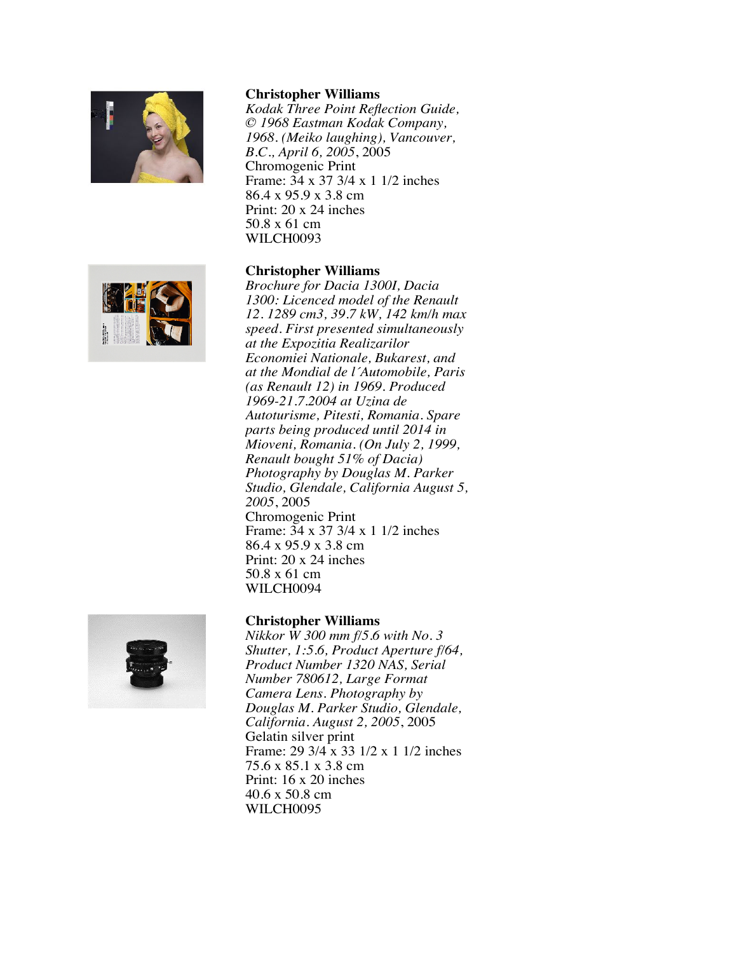

*Kodak Three Point Reflection Guide, © 1968 Eastman Kodak Company, 1968. (Meiko laughing), Vancouver, B.C., April 6, 2005*, 2005 Chromogenic Print Frame: 34 x 37 3/4 x 1 1/2 inches 86.4 x 95.9 x 3.8 cm Print: 20 x 24 inches 50.8 x 61 cm WILCH0093

#### **Christopher Williams** \_



*Brochure for Dacia 1300I, Dacia 1300: Licenced model of the Renault 12. 1289 cm3, 39.7 kW, 142 km/h max speed. First presented simultaneously at the Expozitia Realizarilor Economiei Nationale, Bukarest, and at the Mondial de l´Automobile, Paris (as Renault 12) in 1969. Produced 1969-21.7.2004 at Uzina de Autoturisme, Pitesti, Romania. Spare parts being produced until 2014 in Mioveni, Romania. (On July 2, 1999, Renault bought 51% of Dacia) Photography by Douglas M. Parker Studio, Glendale, California August 5, 2005*, 2005 Chromogenic Print Frame: 34 x 37 3/4 x 1 1/2 inches 86.4 x 95.9 x 3.8 cm Print: 20 x 24 inches 50.8 x 61 cm WILCH0094

## **Christopher Williams** \_

*Nikkor W 300 mm f/5.6 with No. 3 Shutter, 1:5.6, Product Aperture f/64, Product Number 1320 NAS, Serial Number 780612, Large Format Camera Lens. Photography by Douglas M. Parker Studio, Glendale, California. August 2, 2005*, 2005 Gelatin silver print Frame: 29 3/4 x 33 1/2 x 1 1/2 inches 75.6 x 85.1 x 3.8 cm Print: 16 x 20 inches 40.6 x 50.8 cm WILCH0095